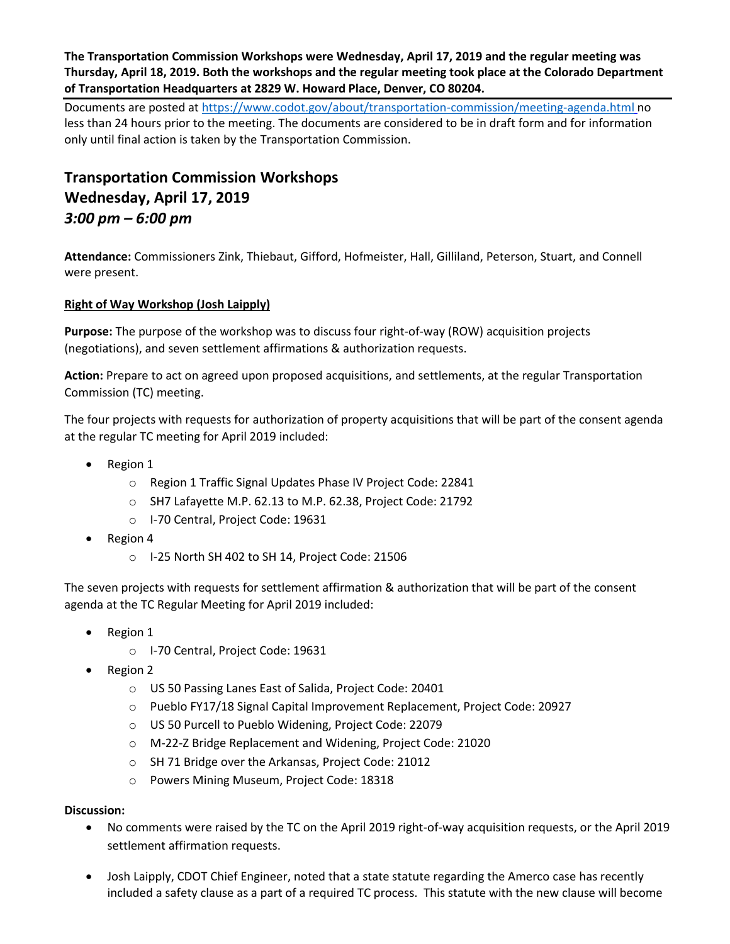**The Transportation Commission Workshops were Wednesday, April 17, 2019 and the regular meeting was Thursday, April 18, 2019. Both the workshops and the regular meeting took place at the Colorado Department of Transportation Headquarters at 2829 W. Howard Place, Denver, CO 80204.**

Documents are posted at<https://www.codot.gov/about/transportation-commission/meeting-agenda.html> no less than 24 hours prior to the meeting. The documents are considered to be in draft form and for information only until final action is taken by the Transportation Commission.

# **Transportation Commission Workshops Wednesday, April 17, 2019** *3:00 pm – 6:00 pm*

**Attendance:** Commissioners Zink, Thiebaut, Gifford, Hofmeister, Hall, Gilliland, Peterson, Stuart, and Connell were present.

## **[Right of Way Workshop \(Josh Laipply\)](https://www.codot.gov/about/transportation-commission/documents/2018-agendas-and-supporting-documents/december-2018/tc-row-2018-12-final.pdf)**

**Purpose:** The purpose of the workshop was to discuss four right-of-way (ROW) acquisition projects (negotiations), and seven settlement affirmations & authorization requests.

**Action:** Prepare to act on agreed upon proposed acquisitions, and settlements, at the regular Transportation Commission (TC) meeting.

The four projects with requests for authorization of property acquisitions that will be part of the consent agenda at the regular TC meeting for April 2019 included:

- Region 1
	- o Region 1 Traffic Signal Updates Phase IV Project Code: 22841
	- o SH7 Lafayette M.P. 62.13 to M.P. 62.38, Project Code: 21792
	- o I-70 Central, Project Code: 19631
- $\bullet$  Region 4
	- o I-25 North SH 402 to SH 14, Project Code: 21506

The seven projects with requests for settlement affirmation & authorization that will be part of the consent agenda at the TC Regular Meeting for April 2019 included:

- Region 1
	- o I-70 Central, Project Code: 19631
- Region 2
	- o US 50 Passing Lanes East of Salida, Project Code: 20401
	- o Pueblo FY17/18 Signal Capital Improvement Replacement, Project Code: 20927
	- o US 50 Purcell to Pueblo Widening, Project Code: 22079
	- o M-22-Z Bridge Replacement and Widening, Project Code: 21020
	- o SH 71 Bridge over the Arkansas, Project Code: 21012
	- o Powers Mining Museum, Project Code: 18318

- No comments were raised by the TC on the April 2019 right-of-way acquisition requests, or the April 2019 settlement affirmation requests.
- Josh Laipply, CDOT Chief Engineer, noted that a state statute regarding the Amerco case has recently included a safety clause as a part of a required TC process. This statute with the new clause will become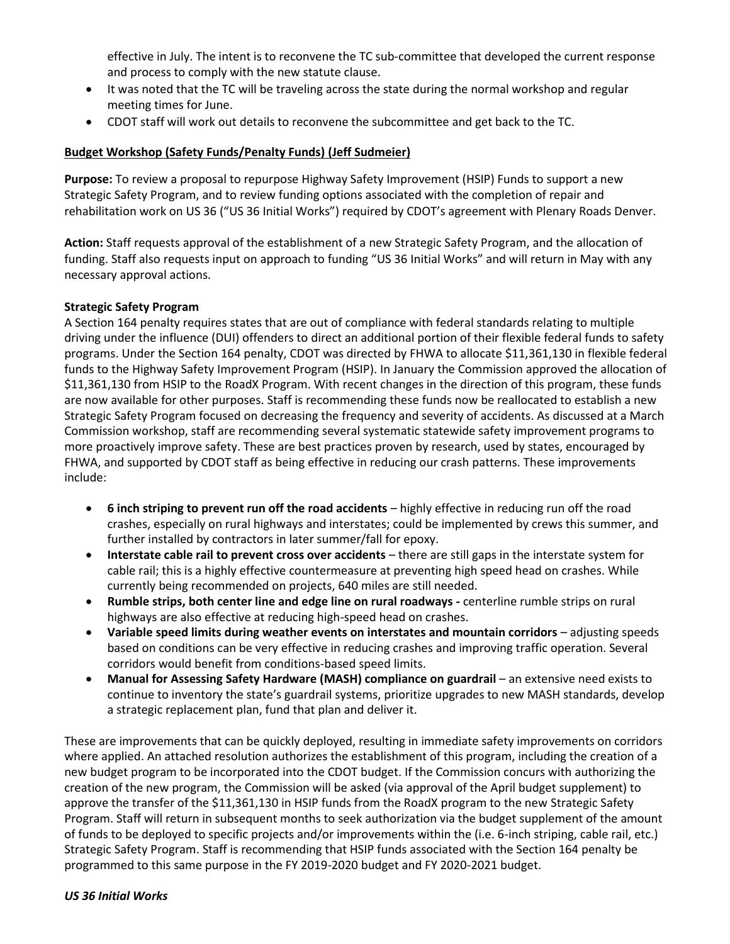effective in July. The intent is to reconvene the TC sub-committee that developed the current response and process to comply with the new statute clause.

- It was noted that the TC will be traveling across the state during the normal workshop and regular meeting times for June.
- CDOT staff will work out details to reconvene the subcommittee and get back to the TC.

#### **Budget Workshop (Safety Funds/Penalty Funds) (Jeff Sudmeier)**

**Purpose:** To review a proposal to repurpose Highway Safety Improvement (HSIP) Funds to support a new Strategic Safety Program, and to review funding options associated with the completion of repair and rehabilitation work on US 36 ("US 36 Initial Works") required by CDOT's agreement with Plenary Roads Denver.

**Action:** Staff requests approval of the establishment of a new Strategic Safety Program, and the allocation of funding. Staff also requests input on approach to funding "US 36 Initial Works" and will return in May with any necessary approval actions.

#### **Strategic Safety Program**

A Section 164 penalty requires states that are out of compliance with federal standards relating to multiple driving under the influence (DUI) offenders to direct an additional portion of their flexible federal funds to safety programs. Under the Section 164 penalty, CDOT was directed by FHWA to allocate \$11,361,130 in flexible federal funds to the Highway Safety Improvement Program (HSIP). In January the Commission approved the allocation of \$11,361,130 from HSIP to the RoadX Program. With recent changes in the direction of this program, these funds are now available for other purposes. Staff is recommending these funds now be reallocated to establish a new Strategic Safety Program focused on decreasing the frequency and severity of accidents. As discussed at a March Commission workshop, staff are recommending several systematic statewide safety improvement programs to more proactively improve safety. These are best practices proven by research, used by states, encouraged by FHWA, and supported by CDOT staff as being effective in reducing our crash patterns. These improvements include:

- **6 inch striping to prevent run off the road accidents** highly effective in reducing run off the road crashes, especially on rural highways and interstates; could be implemented by crews this summer, and further installed by contractors in later summer/fall for epoxy.
- **Interstate cable rail to prevent cross over accidents** there are still gaps in the interstate system for cable rail; this is a highly effective countermeasure at preventing high speed head on crashes. While currently being recommended on projects, 640 miles are still needed.
- **Rumble strips, both center line and edge line on rural roadways -** centerline rumble strips on rural highways are also effective at reducing high-speed head on crashes.
- **Variable speed limits during weather events on interstates and mountain corridors** adjusting speeds based on conditions can be very effective in reducing crashes and improving traffic operation. Several corridors would benefit from conditions-based speed limits.
- **Manual for Assessing Safety Hardware (MASH) compliance on guardrail** an extensive need exists to continue to inventory the state's guardrail systems, prioritize upgrades to new MASH standards, develop a strategic replacement plan, fund that plan and deliver it.

These are improvements that can be quickly deployed, resulting in immediate safety improvements on corridors where applied. An attached resolution authorizes the establishment of this program, including the creation of a new budget program to be incorporated into the CDOT budget. If the Commission concurs with authorizing the creation of the new program, the Commission will be asked (via approval of the April budget supplement) to approve the transfer of the \$11,361,130 in HSIP funds from the RoadX program to the new Strategic Safety Program. Staff will return in subsequent months to seek authorization via the budget supplement of the amount of funds to be deployed to specific projects and/or improvements within the (i.e. 6-inch striping, cable rail, etc.) Strategic Safety Program. Staff is recommending that HSIP funds associated with the Section 164 penalty be programmed to this same purpose in the FY 2019-2020 budget and FY 2020-2021 budget.

#### *US 36 Initial Works*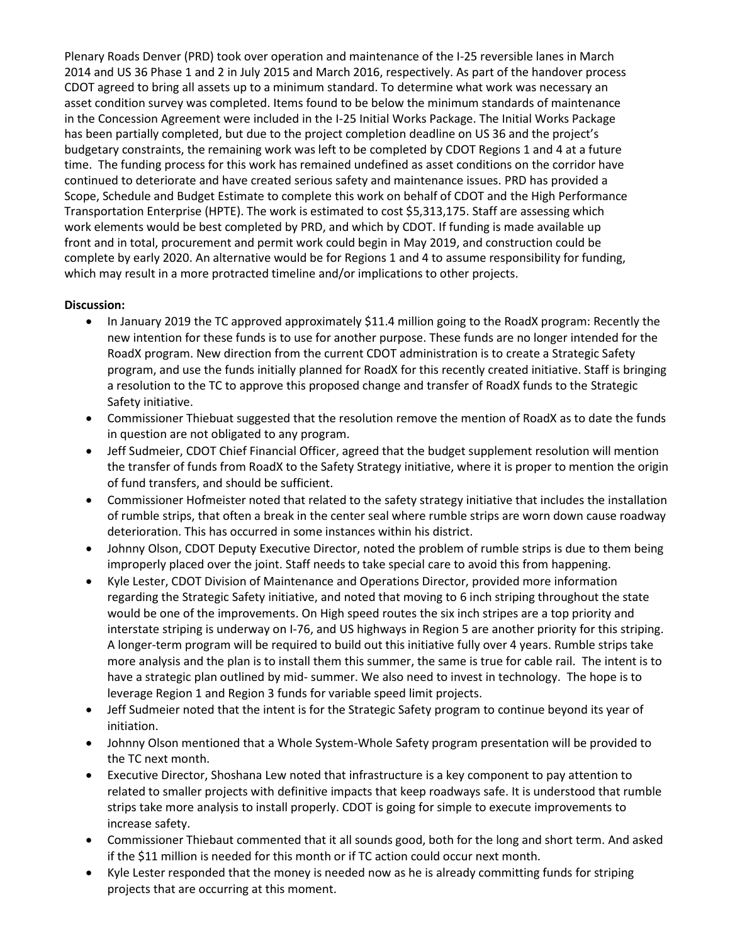Plenary Roads Denver (PRD) took over operation and maintenance of the I-25 reversible lanes in March 2014 and US 36 Phase 1 and 2 in July 2015 and March 2016, respectively. As part of the handover process CDOT agreed to bring all assets up to a minimum standard. To determine what work was necessary an asset condition survey was completed. Items found to be below the minimum standards of maintenance in the Concession Agreement were included in the I-25 Initial Works Package. The Initial Works Package has been partially completed, but due to the project completion deadline on US 36 and the project's budgetary constraints, the remaining work was left to be completed by CDOT Regions 1 and 4 at a future time. The funding process for this work has remained undefined as asset conditions on the corridor have continued to deteriorate and have created serious safety and maintenance issues. PRD has provided a Scope, Schedule and Budget Estimate to complete this work on behalf of CDOT and the High Performance Transportation Enterprise (HPTE). The work is estimated to cost \$5,313,175. Staff are assessing which work elements would be best completed by PRD, and which by CDOT. If funding is made available up front and in total, procurement and permit work could begin in May 2019, and construction could be complete by early 2020. An alternative would be for Regions 1 and 4 to assume responsibility for funding, which may result in a more protracted timeline and/or implications to other projects.

- In January 2019 the TC approved approximately \$11.4 million going to the RoadX program: Recently the new intention for these funds is to use for another purpose. These funds are no longer intended for the RoadX program. New direction from the current CDOT administration is to create a Strategic Safety program, and use the funds initially planned for RoadX for this recently created initiative. Staff is bringing a resolution to the TC to approve this proposed change and transfer of RoadX funds to the Strategic Safety initiative.
- Commissioner Thiebuat suggested that the resolution remove the mention of RoadX as to date the funds in question are not obligated to any program.
- Jeff Sudmeier, CDOT Chief Financial Officer, agreed that the budget supplement resolution will mention the transfer of funds from RoadX to the Safety Strategy initiative, where it is proper to mention the origin of fund transfers, and should be sufficient.
- Commissioner Hofmeister noted that related to the safety strategy initiative that includes the installation of rumble strips, that often a break in the center seal where rumble strips are worn down cause roadway deterioration. This has occurred in some instances within his district.
- Johnny Olson, CDOT Deputy Executive Director, noted the problem of rumble strips is due to them being improperly placed over the joint. Staff needs to take special care to avoid this from happening.
- Kyle Lester, CDOT Division of Maintenance and Operations Director, provided more information regarding the Strategic Safety initiative, and noted that moving to 6 inch striping throughout the state would be one of the improvements. On High speed routes the six inch stripes are a top priority and interstate striping is underway on I-76, and US highways in Region 5 are another priority for this striping. A longer-term program will be required to build out this initiative fully over 4 years. Rumble strips take more analysis and the plan is to install them this summer, the same is true for cable rail. The intent is to have a strategic plan outlined by mid- summer. We also need to invest in technology. The hope is to leverage Region 1 and Region 3 funds for variable speed limit projects.
- Jeff Sudmeier noted that the intent is for the Strategic Safety program to continue beyond its year of initiation.
- Johnny Olson mentioned that a Whole System-Whole Safety program presentation will be provided to the TC next month.
- Executive Director, Shoshana Lew noted that infrastructure is a key component to pay attention to related to smaller projects with definitive impacts that keep roadways safe. It is understood that rumble strips take more analysis to install properly. CDOT is going for simple to execute improvements to increase safety.
- Commissioner Thiebaut commented that it all sounds good, both for the long and short term. And asked if the \$11 million is needed for this month or if TC action could occur next month.
- Kyle Lester responded that the money is needed now as he is already committing funds for striping projects that are occurring at this moment.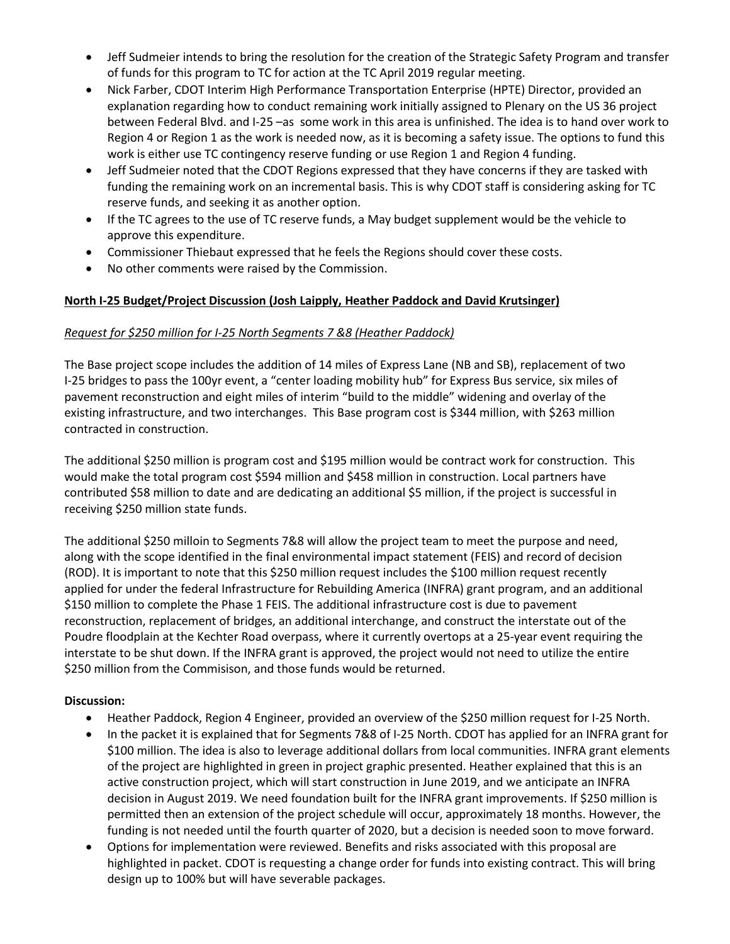- Jeff Sudmeier intends to bring the resolution for the creation of the Strategic Safety Program and transfer of funds for this program to TC for action at the TC April 2019 regular meeting.
- Nick Farber, CDOT Interim High Performance Transportation Enterprise (HPTE) Director, provided an explanation regarding how to conduct remaining work initially assigned to Plenary on the US 36 project between Federal Blvd. and I-25 –as some work in this area is unfinished. The idea is to hand over work to Region 4 or Region 1 as the work is needed now, as it is becoming a safety issue. The options to fund this work is either use TC contingency reserve funding or use Region 1 and Region 4 funding.
- Jeff Sudmeier noted that the CDOT Regions expressed that they have concerns if they are tasked with funding the remaining work on an incremental basis. This is why CDOT staff is considering asking for TC reserve funds, and seeking it as another option.
- If the TC agrees to the use of TC reserve funds, a May budget supplement would be the vehicle to approve this expenditure.
- Commissioner Thiebaut expressed that he feels the Regions should cover these costs.
- No other comments were raised by the Commission.

## **North I-25 Budget/Project Discussion (Josh Laipply, Heather Paddock and David Krutsinger)**

#### *Request for \$250 million for I-25 North Segments 7 &8 (Heather Paddock)*

The Base project scope includes the addition of 14 miles of Express Lane (NB and SB), replacement of two I-25 bridges to pass the 100yr event, a "center loading mobility hub" for Express Bus service, six miles of pavement reconstruction and eight miles of interim "build to the middle" widening and overlay of the existing infrastructure, and two interchanges. This Base program cost is \$344 million, with \$263 million contracted in construction.

The additional \$250 million is program cost and \$195 million would be contract work for construction. This would make the total program cost \$594 million and \$458 million in construction. Local partners have contributed \$58 million to date and are dedicating an additional \$5 million, if the project is successful in receiving \$250 million state funds.

The additional \$250 milloin to Segments 7&8 will allow the project team to meet the purpose and need, along with the scope identified in the final environmental impact statement (FEIS) and record of decision (ROD). It is important to note that this \$250 million request includes the \$100 million request recently applied for under the federal Infrastructure for Rebuilding America (INFRA) grant program, and an additional \$150 million to complete the Phase 1 FEIS. The additional infrastructure cost is due to pavement reconstruction, replacement of bridges, an additional interchange, and construct the interstate out of the Poudre floodplain at the Kechter Road overpass, where it currently overtops at a 25-year event requiring the interstate to be shut down. If the INFRA grant is approved, the project would not need to utilize the entire \$250 million from the Commisison, and those funds would be returned.

- Heather Paddock, Region 4 Engineer, provided an overview of the \$250 million request for I-25 North.
- In the packet it is explained that for Segments 7&8 of I-25 North. CDOT has applied for an INFRA grant for \$100 million. The idea is also to leverage additional dollars from local communities. INFRA grant elements of the project are highlighted in green in project graphic presented. Heather explained that this is an active construction project, which will start construction in June 2019, and we anticipate an INFRA decision in August 2019. We need foundation built for the INFRA grant improvements. If \$250 million is permitted then an extension of the project schedule will occur, approximately 18 months. However, the funding is not needed until the fourth quarter of 2020, but a decision is needed soon to move forward.
- Options for implementation were reviewed. Benefits and risks associated with this proposal are highlighted in packet. CDOT is requesting a change order for funds into existing contract. This will bring design up to 100% but will have severable packages.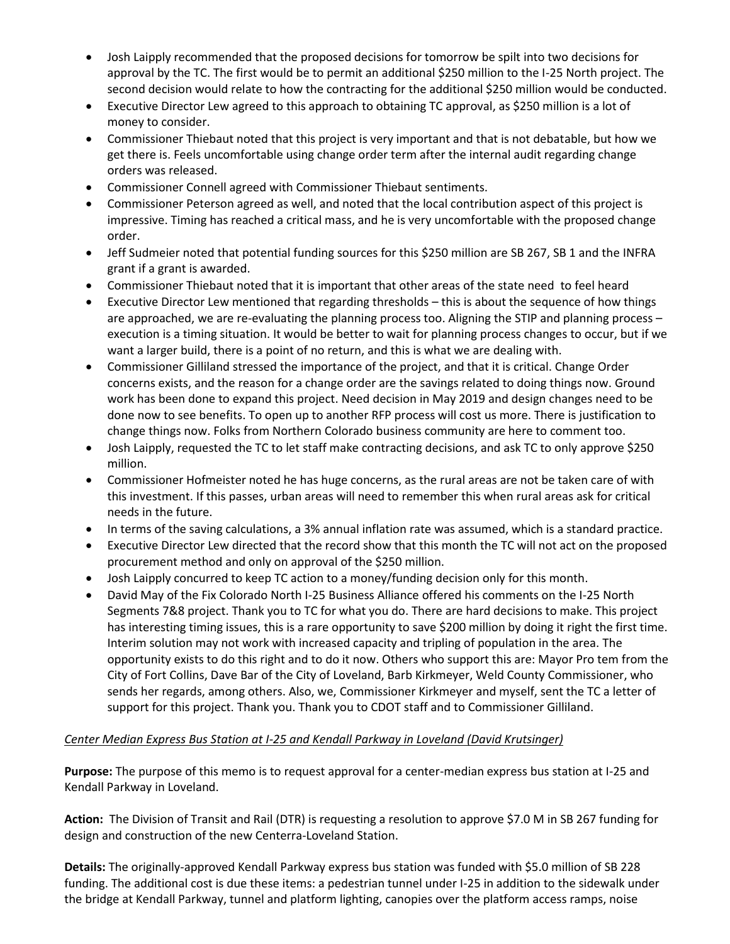- Josh Laipply recommended that the proposed decisions for tomorrow be spilt into two decisions for approval by the TC. The first would be to permit an additional \$250 million to the I-25 North project. The second decision would relate to how the contracting for the additional \$250 million would be conducted.
- Executive Director Lew agreed to this approach to obtaining TC approval, as \$250 million is a lot of money to consider.
- Commissioner Thiebaut noted that this project is very important and that is not debatable, but how we get there is. Feels uncomfortable using change order term after the internal audit regarding change orders was released.
- Commissioner Connell agreed with Commissioner Thiebaut sentiments.
- Commissioner Peterson agreed as well, and noted that the local contribution aspect of this project is impressive. Timing has reached a critical mass, and he is very uncomfortable with the proposed change order.
- Jeff Sudmeier noted that potential funding sources for this \$250 million are SB 267, SB 1 and the INFRA grant if a grant is awarded.
- Commissioner Thiebaut noted that it is important that other areas of the state need to feel heard
- Executive Director Lew mentioned that regarding thresholds this is about the sequence of how things are approached, we are re-evaluating the planning process too. Aligning the STIP and planning process – execution is a timing situation. It would be better to wait for planning process changes to occur, but if we want a larger build, there is a point of no return, and this is what we are dealing with.
- Commissioner Gilliland stressed the importance of the project, and that it is critical. Change Order concerns exists, and the reason for a change order are the savings related to doing things now. Ground work has been done to expand this project. Need decision in May 2019 and design changes need to be done now to see benefits. To open up to another RFP process will cost us more. There is justification to change things now. Folks from Northern Colorado business community are here to comment too.
- Josh Laipply, requested the TC to let staff make contracting decisions, and ask TC to only approve \$250 million.
- Commissioner Hofmeister noted he has huge concerns, as the rural areas are not be taken care of with this investment. If this passes, urban areas will need to remember this when rural areas ask for critical needs in the future.
- In terms of the saving calculations, a 3% annual inflation rate was assumed, which is a standard practice.
- Executive Director Lew directed that the record show that this month the TC will not act on the proposed procurement method and only on approval of the \$250 million.
- Josh Laipply concurred to keep TC action to a money/funding decision only for this month.
- David May of the Fix Colorado North I-25 Business Alliance offered his comments on the I-25 North Segments 7&8 project. Thank you to TC for what you do. There are hard decisions to make. This project has interesting timing issues, this is a rare opportunity to save \$200 million by doing it right the first time. Interim solution may not work with increased capacity and tripling of population in the area. The opportunity exists to do this right and to do it now. Others who support this are: Mayor Pro tem from the City of Fort Collins, Dave Bar of the City of Loveland, Barb Kirkmeyer, Weld County Commissioner, who sends her regards, among others. Also, we, Commissioner Kirkmeyer and myself, sent the TC a letter of support for this project. Thank you. Thank you to CDOT staff and to Commissioner Gilliland.

## *Center Median Express Bus Station at I-25 and Kendall Parkway in Loveland (David Krutsinger)*

**Purpose:** The purpose of this memo is to request approval for a center-median express bus station at I-25 and Kendall Parkway in Loveland.

**Action:** The Division of Transit and Rail (DTR) is requesting a resolution to approve \$7.0 M in SB 267 funding for design and construction of the new Centerra-Loveland Station.

**Details:** The originally-approved Kendall Parkway express bus station was funded with \$5.0 million of SB 228 funding. The additional cost is due these items: a pedestrian tunnel under I-25 in addition to the sidewalk under the bridge at Kendall Parkway, tunnel and platform lighting, canopies over the platform access ramps, noise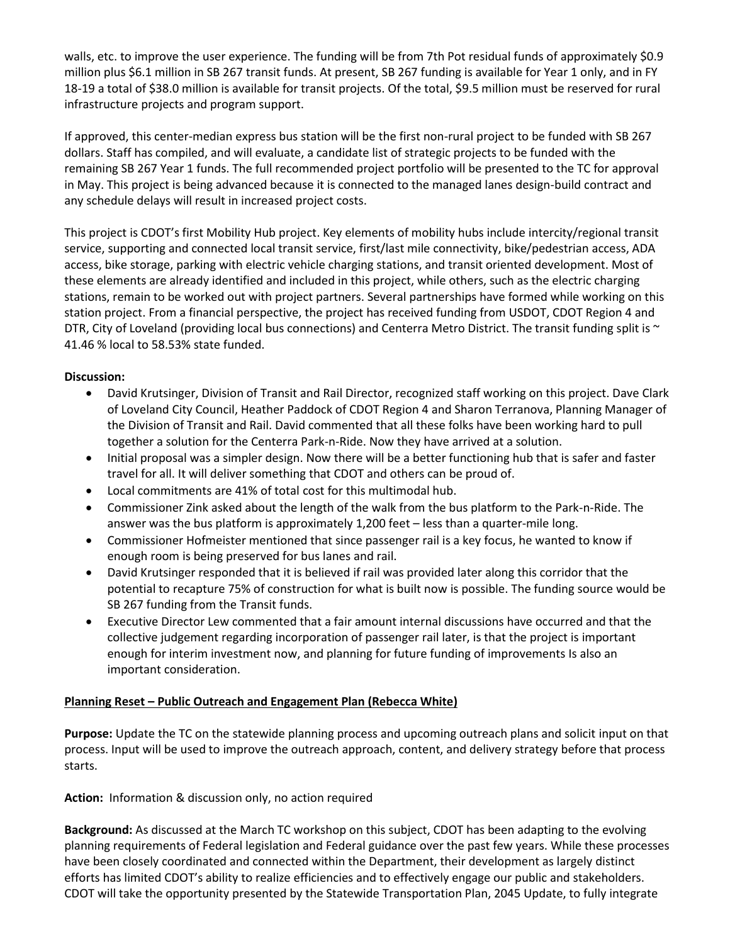walls, etc. to improve the user experience. The funding will be from 7th Pot residual funds of approximately \$0.9 million plus \$6.1 million in SB 267 transit funds. At present, SB 267 funding is available for Year 1 only, and in FY 18-19 a total of \$38.0 million is available for transit projects. Of the total, \$9.5 million must be reserved for rural infrastructure projects and program support.

If approved, this center-median express bus station will be the first non-rural project to be funded with SB 267 dollars. Staff has compiled, and will evaluate, a candidate list of strategic projects to be funded with the remaining SB 267 Year 1 funds. The full recommended project portfolio will be presented to the TC for approval in May. This project is being advanced because it is connected to the managed lanes design-build contract and any schedule delays will result in increased project costs.

This project is CDOT's first Mobility Hub project. Key elements of mobility hubs include intercity/regional transit service, supporting and connected local transit service, first/last mile connectivity, bike/pedestrian access, ADA access, bike storage, parking with electric vehicle charging stations, and transit oriented development. Most of these elements are already identified and included in this project, while others, such as the electric charging stations, remain to be worked out with project partners. Several partnerships have formed while working on this station project. From a financial perspective, the project has received funding from USDOT, CDOT Region 4 and DTR, City of Loveland (providing local bus connections) and Centerra Metro District. The transit funding split is  $\sim$ 41.46 % local to 58.53% state funded.

#### **Discussion:**

- David Krutsinger, Division of Transit and Rail Director, recognized staff working on this project. Dave Clark of Loveland City Council, Heather Paddock of CDOT Region 4 and Sharon Terranova, Planning Manager of the Division of Transit and Rail. David commented that all these folks have been working hard to pull together a solution for the Centerra Park-n-Ride. Now they have arrived at a solution.
- Initial proposal was a simpler design. Now there will be a better functioning hub that is safer and faster travel for all. It will deliver something that CDOT and others can be proud of.
- Local commitments are 41% of total cost for this multimodal hub.
- Commissioner Zink asked about the length of the walk from the bus platform to the Park-n-Ride. The answer was the bus platform is approximately 1,200 feet – less than a quarter-mile long.
- Commissioner Hofmeister mentioned that since passenger rail is a key focus, he wanted to know if enough room is being preserved for bus lanes and rail.
- David Krutsinger responded that it is believed if rail was provided later along this corridor that the potential to recapture 75% of construction for what is built now is possible. The funding source would be SB 267 funding from the Transit funds.
- Executive Director Lew commented that a fair amount internal discussions have occurred and that the collective judgement regarding incorporation of passenger rail later, is that the project is important enough for interim investment now, and planning for future funding of improvements Is also an important consideration.

#### **Planning Reset – Public Outreach and Engagement Plan (Rebecca White)**

**Purpose:** Update the TC on the statewide planning process and upcoming outreach plans and solicit input on that process. Input will be used to improve the outreach approach, content, and delivery strategy before that process starts.

#### **Action:** Information & discussion only, no action required

**Background:** As discussed at the March TC workshop on this subject, CDOT has been adapting to the evolving planning requirements of Federal legislation and Federal guidance over the past few years. While these processes have been closely coordinated and connected within the Department, their development as largely distinct efforts has limited CDOT's ability to realize efficiencies and to effectively engage our public and stakeholders. CDOT will take the opportunity presented by the Statewide Transportation Plan, 2045 Update, to fully integrate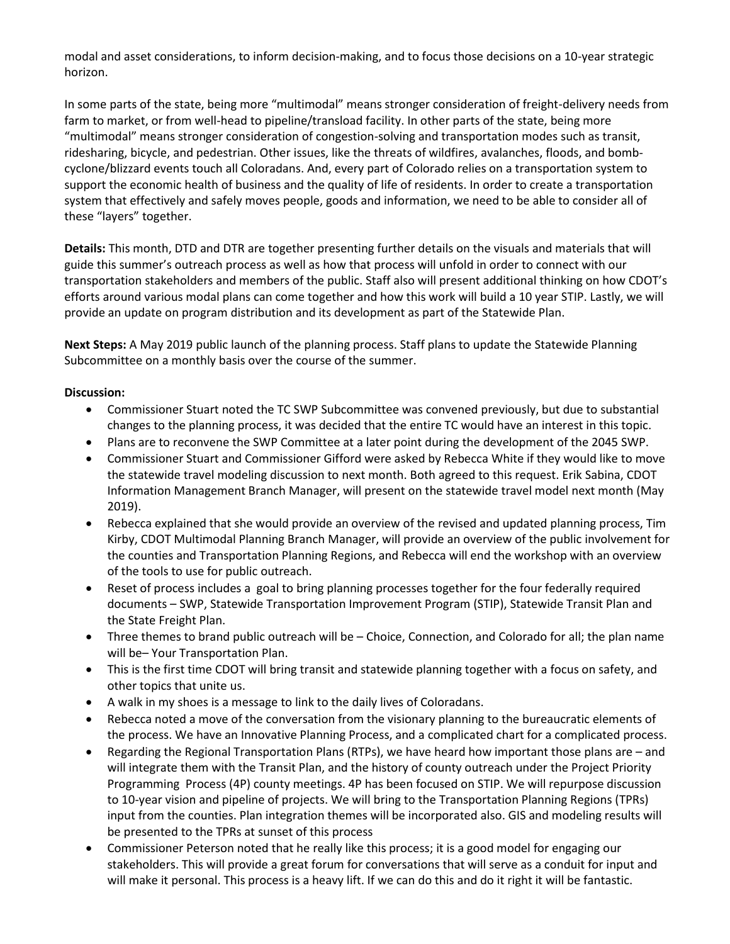modal and asset considerations, to inform decision-making, and to focus those decisions on a 10-year strategic horizon.

In some parts of the state, being more "multimodal" means stronger consideration of freight-delivery needs from farm to market, or from well-head to pipeline/transload facility. In other parts of the state, being more "multimodal" means stronger consideration of congestion-solving and transportation modes such as transit, ridesharing, bicycle, and pedestrian. Other issues, like the threats of wildfires, avalanches, floods, and bombcyclone/blizzard events touch all Coloradans. And, every part of Colorado relies on a transportation system to support the economic health of business and the quality of life of residents. In order to create a transportation system that effectively and safely moves people, goods and information, we need to be able to consider all of these "layers" together.

**Details:** This month, DTD and DTR are together presenting further details on the visuals and materials that will guide this summer's outreach process as well as how that process will unfold in order to connect with our transportation stakeholders and members of the public. Staff also will present additional thinking on how CDOT's efforts around various modal plans can come together and how this work will build a 10 year STIP. Lastly, we will provide an update on program distribution and its development as part of the Statewide Plan.

**Next Steps:** A May 2019 public launch of the planning process. Staff plans to update the Statewide Planning Subcommittee on a monthly basis over the course of the summer.

- Commissioner Stuart noted the TC SWP Subcommittee was convened previously, but due to substantial changes to the planning process, it was decided that the entire TC would have an interest in this topic.
- Plans are to reconvene the SWP Committee at a later point during the development of the 2045 SWP.
- Commissioner Stuart and Commissioner Gifford were asked by Rebecca White if they would like to move the statewide travel modeling discussion to next month. Both agreed to this request. Erik Sabina, CDOT Information Management Branch Manager, will present on the statewide travel model next month (May 2019).
- Rebecca explained that she would provide an overview of the revised and updated planning process, Tim Kirby, CDOT Multimodal Planning Branch Manager, will provide an overview of the public involvement for the counties and Transportation Planning Regions, and Rebecca will end the workshop with an overview of the tools to use for public outreach.
- Reset of process includes a goal to bring planning processes together for the four federally required documents – SWP, Statewide Transportation Improvement Program (STIP), Statewide Transit Plan and the State Freight Plan.
- Three themes to brand public outreach will be Choice, Connection, and Colorado for all; the plan name will be– Your Transportation Plan.
- This is the first time CDOT will bring transit and statewide planning together with a focus on safety, and other topics that unite us.
- A walk in my shoes is a message to link to the daily lives of Coloradans.
- Rebecca noted a move of the conversation from the visionary planning to the bureaucratic elements of the process. We have an Innovative Planning Process, and a complicated chart for a complicated process.
- Regarding the Regional Transportation Plans (RTPs), we have heard how important those plans are and will integrate them with the Transit Plan, and the history of county outreach under the Project Priority Programming Process (4P) county meetings. 4P has been focused on STIP. We will repurpose discussion to 10-year vision and pipeline of projects. We will bring to the Transportation Planning Regions (TPRs) input from the counties. Plan integration themes will be incorporated also. GIS and modeling results will be presented to the TPRs at sunset of this process
- Commissioner Peterson noted that he really like this process; it is a good model for engaging our stakeholders. This will provide a great forum for conversations that will serve as a conduit for input and will make it personal. This process is a heavy lift. If we can do this and do it right it will be fantastic.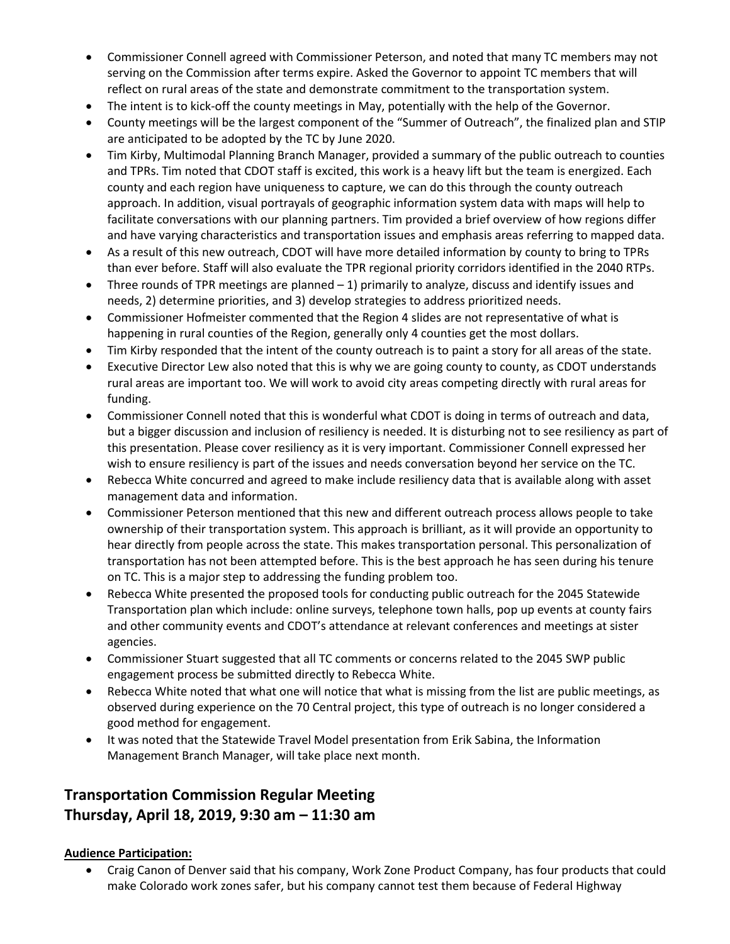- Commissioner Connell agreed with Commissioner Peterson, and noted that many TC members may not serving on the Commission after terms expire. Asked the Governor to appoint TC members that will reflect on rural areas of the state and demonstrate commitment to the transportation system.
- The intent is to kick-off the county meetings in May, potentially with the help of the Governor.
- County meetings will be the largest component of the "Summer of Outreach", the finalized plan and STIP are anticipated to be adopted by the TC by June 2020.
- Tim Kirby, Multimodal Planning Branch Manager, provided a summary of the public outreach to counties and TPRs. Tim noted that CDOT staff is excited, this work is a heavy lift but the team is energized. Each county and each region have uniqueness to capture, we can do this through the county outreach approach. In addition, visual portrayals of geographic information system data with maps will help to facilitate conversations with our planning partners. Tim provided a brief overview of how regions differ and have varying characteristics and transportation issues and emphasis areas referring to mapped data.
- As a result of this new outreach, CDOT will have more detailed information by county to bring to TPRs than ever before. Staff will also evaluate the TPR regional priority corridors identified in the 2040 RTPs.
- $\bullet$  Three rounds of TPR meetings are planned  $-1$ ) primarily to analyze, discuss and identify issues and needs, 2) determine priorities, and 3) develop strategies to address prioritized needs.
- Commissioner Hofmeister commented that the Region 4 slides are not representative of what is happening in rural counties of the Region, generally only 4 counties get the most dollars.
- Tim Kirby responded that the intent of the county outreach is to paint a story for all areas of the state.
- Executive Director Lew also noted that this is why we are going county to county, as CDOT understands rural areas are important too. We will work to avoid city areas competing directly with rural areas for funding.
- Commissioner Connell noted that this is wonderful what CDOT is doing in terms of outreach and data, but a bigger discussion and inclusion of resiliency is needed. It is disturbing not to see resiliency as part of this presentation. Please cover resiliency as it is very important. Commissioner Connell expressed her wish to ensure resiliency is part of the issues and needs conversation beyond her service on the TC.
- Rebecca White concurred and agreed to make include resiliency data that is available along with asset management data and information.
- Commissioner Peterson mentioned that this new and different outreach process allows people to take ownership of their transportation system. This approach is brilliant, as it will provide an opportunity to hear directly from people across the state. This makes transportation personal. This personalization of transportation has not been attempted before. This is the best approach he has seen during his tenure on TC. This is a major step to addressing the funding problem too.
- Rebecca White presented the proposed tools for conducting public outreach for the 2045 Statewide Transportation plan which include: online surveys, telephone town halls, pop up events at county fairs and other community events and CDOT's attendance at relevant conferences and meetings at sister agencies.
- Commissioner Stuart suggested that all TC comments or concerns related to the 2045 SWP public engagement process be submitted directly to Rebecca White.
- Rebecca White noted that what one will notice that what is missing from the list are public meetings, as observed during experience on the 70 Central project, this type of outreach is no longer considered a good method for engagement.
- It was noted that the Statewide Travel Model presentation from Erik Sabina, the Information Management Branch Manager, will take place next month.

# **Transportation Commission Regular Meeting Thursday, April 18, 2019, 9:30 am – 11:30 am**

## **Audience Participation:**

 Craig Canon of Denver said that his company, Work Zone Product Company, has four products that could make Colorado work zones safer, but his company cannot test them because of Federal Highway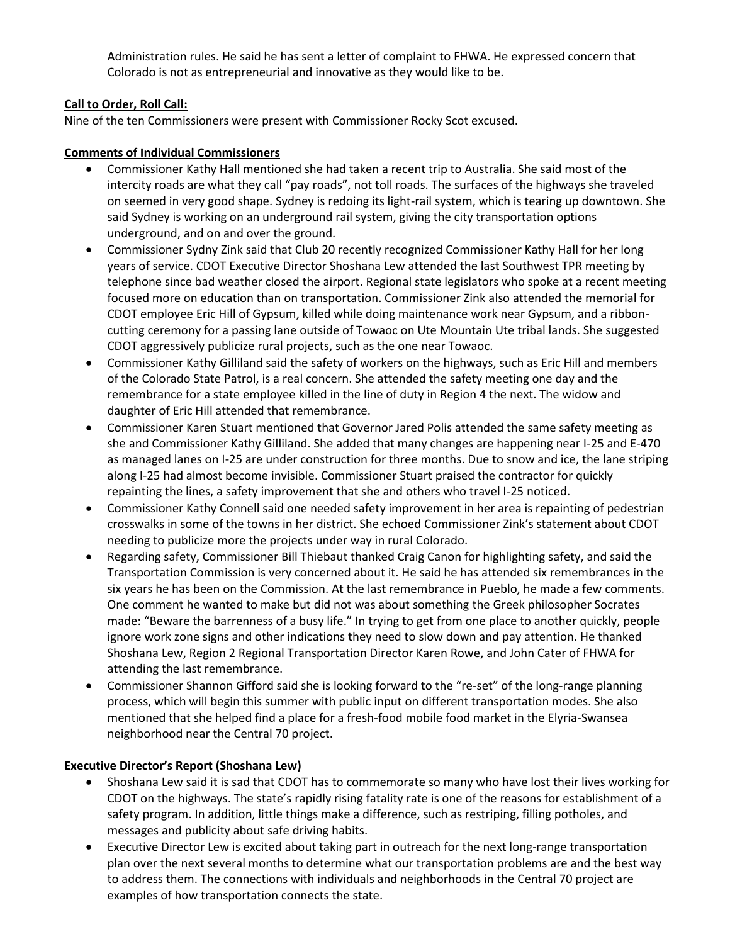Administration rules. He said he has sent a letter of complaint to FHWA. He expressed concern that Colorado is not as entrepreneurial and innovative as they would like to be.

## **Call to Order, Roll Call:**

Nine of the ten Commissioners were present with Commissioner Rocky Scot excused.

#### **Comments of Individual Commissioners**

- Commissioner Kathy Hall mentioned she had taken a recent trip to Australia. She said most of the intercity roads are what they call "pay roads", not toll roads. The surfaces of the highways she traveled on seemed in very good shape. Sydney is redoing its light-rail system, which is tearing up downtown. She said Sydney is working on an underground rail system, giving the city transportation options underground, and on and over the ground.
- Commissioner Sydny Zink said that Club 20 recently recognized Commissioner Kathy Hall for her long years of service. CDOT Executive Director Shoshana Lew attended the last Southwest TPR meeting by telephone since bad weather closed the airport. Regional state legislators who spoke at a recent meeting focused more on education than on transportation. Commissioner Zink also attended the memorial for CDOT employee Eric Hill of Gypsum, killed while doing maintenance work near Gypsum, and a ribboncutting ceremony for a passing lane outside of Towaoc on Ute Mountain Ute tribal lands. She suggested CDOT aggressively publicize rural projects, such as the one near Towaoc.
- Commissioner Kathy Gilliland said the safety of workers on the highways, such as Eric Hill and members of the Colorado State Patrol, is a real concern. She attended the safety meeting one day and the remembrance for a state employee killed in the line of duty in Region 4 the next. The widow and daughter of Eric Hill attended that remembrance.
- Commissioner Karen Stuart mentioned that Governor Jared Polis attended the same safety meeting as she and Commissioner Kathy Gilliland. She added that many changes are happening near I-25 and E-470 as managed lanes on I-25 are under construction for three months. Due to snow and ice, the lane striping along I-25 had almost become invisible. Commissioner Stuart praised the contractor for quickly repainting the lines, a safety improvement that she and others who travel I-25 noticed.
- Commissioner Kathy Connell said one needed safety improvement in her area is repainting of pedestrian crosswalks in some of the towns in her district. She echoed Commissioner Zink's statement about CDOT needing to publicize more the projects under way in rural Colorado.
- Regarding safety, Commissioner Bill Thiebaut thanked Craig Canon for highlighting safety, and said the Transportation Commission is very concerned about it. He said he has attended six remembrances in the six years he has been on the Commission. At the last remembrance in Pueblo, he made a few comments. One comment he wanted to make but did not was about something the Greek philosopher Socrates made: "Beware the barrenness of a busy life." In trying to get from one place to another quickly, people ignore work zone signs and other indications they need to slow down and pay attention. He thanked Shoshana Lew, Region 2 Regional Transportation Director Karen Rowe, and John Cater of FHWA for attending the last remembrance.
- Commissioner Shannon Gifford said she is looking forward to the "re-set" of the long-range planning process, which will begin this summer with public input on different transportation modes. She also mentioned that she helped find a place for a fresh-food mobile food market in the Elyria-Swansea neighborhood near the Central 70 project.

## **Executive Director's Report (Shoshana Lew)**

- Shoshana Lew said it is sad that CDOT has to commemorate so many who have lost their lives working for CDOT on the highways. The state's rapidly rising fatality rate is one of the reasons for establishment of a safety program. In addition, little things make a difference, such as restriping, filling potholes, and messages and publicity about safe driving habits.
- Executive Director Lew is excited about taking part in outreach for the next long-range transportation plan over the next several months to determine what our transportation problems are and the best way to address them. The connections with individuals and neighborhoods in the Central 70 project are examples of how transportation connects the state.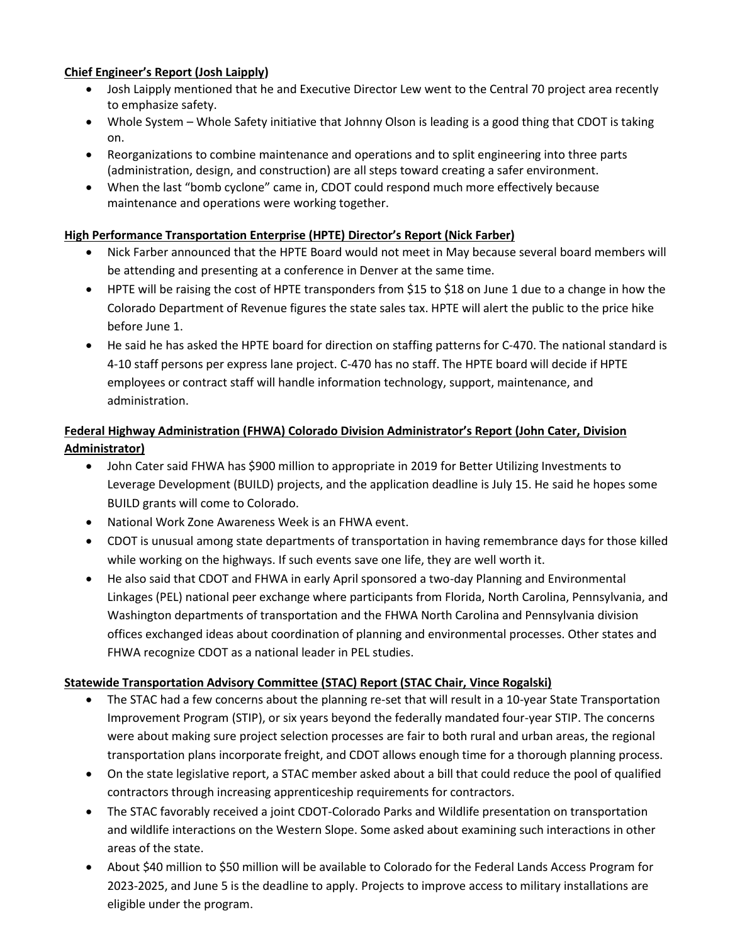# **Chief Engineer's Report (Josh Laipply)**

- Josh Laipply mentioned that he and Executive Director Lew went to the Central 70 project area recently to emphasize safety.
- Whole System Whole Safety initiative that Johnny Olson is leading is a good thing that CDOT is taking on.
- Reorganizations to combine maintenance and operations and to split engineering into three parts (administration, design, and construction) are all steps toward creating a safer environment.
- When the last "bomb cyclone" came in, CDOT could respond much more effectively because maintenance and operations were working together.

## **High Performance Transportation Enterprise (HPTE) Director's Report (Nick Farber)**

- Nick Farber announced that the HPTE Board would not meet in May because several board members will be attending and presenting at a conference in Denver at the same time.
- HPTE will be raising the cost of HPTE transponders from \$15 to \$18 on June 1 due to a change in how the Colorado Department of Revenue figures the state sales tax. HPTE will alert the public to the price hike before June 1.
- He said he has asked the HPTE board for direction on staffing patterns for C-470. The national standard is 4-10 staff persons per express lane project. C-470 has no staff. The HPTE board will decide if HPTE employees or contract staff will handle information technology, support, maintenance, and administration.

# **Federal Highway Administration (FHWA) Colorado Division Administrator's Report (John Cater, Division Administrator)**

- John Cater said FHWA has \$900 million to appropriate in 2019 for Better Utilizing Investments to Leverage Development (BUILD) projects, and the application deadline is July 15. He said he hopes some BUILD grants will come to Colorado.
- National Work Zone Awareness Week is an FHWA event.
- CDOT is unusual among state departments of transportation in having remembrance days for those killed while working on the highways. If such events save one life, they are well worth it.
- He also said that CDOT and FHWA in early April sponsored a two-day Planning and Environmental Linkages (PEL) national peer exchange where participants from Florida, North Carolina, Pennsylvania, and Washington departments of transportation and the FHWA North Carolina and Pennsylvania division offices exchanged ideas about coordination of planning and environmental processes. Other states and FHWA recognize CDOT as a national leader in PEL studies.

# **Statewide Transportation Advisory Committee (STAC) Report (STAC Chair, Vince Rogalski)**

- The STAC had a few concerns about the planning re-set that will result in a 10-year State Transportation Improvement Program (STIP), or six years beyond the federally mandated four-year STIP. The concerns were about making sure project selection processes are fair to both rural and urban areas, the regional transportation plans incorporate freight, and CDOT allows enough time for a thorough planning process.
- On the state legislative report, a STAC member asked about a bill that could reduce the pool of qualified contractors through increasing apprenticeship requirements for contractors.
- The STAC favorably received a joint CDOT-Colorado Parks and Wildlife presentation on transportation and wildlife interactions on the Western Slope. Some asked about examining such interactions in other areas of the state.
- About \$40 million to \$50 million will be available to Colorado for the Federal Lands Access Program for 2023-2025, and June 5 is the deadline to apply. Projects to improve access to military installations are eligible under the program.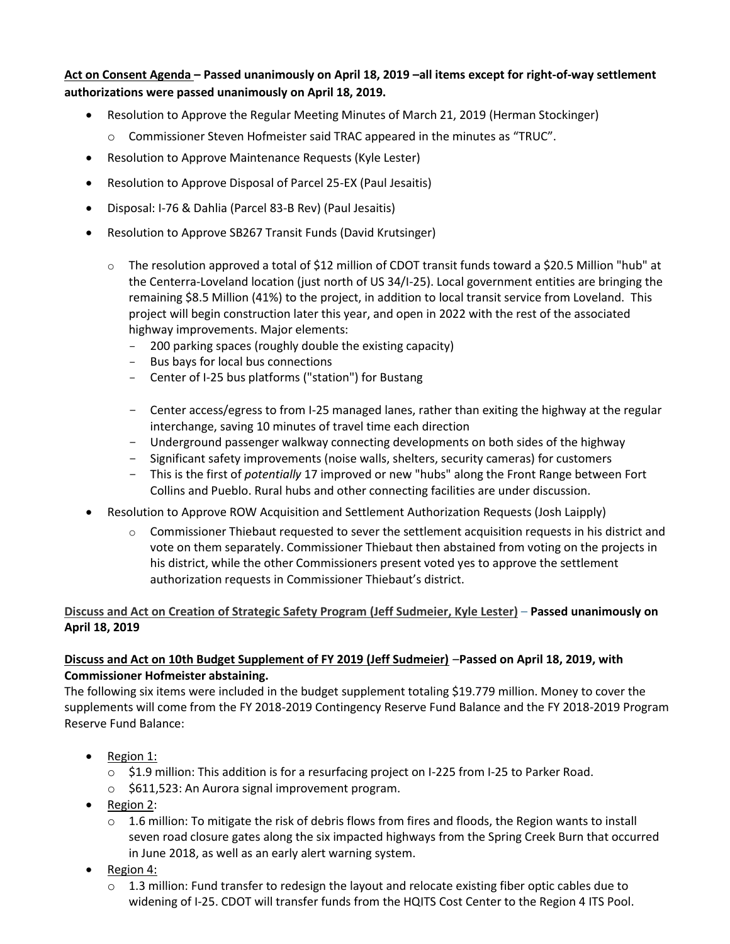**Act on Consent Agenda – Passed unanimously on April 18, 2019 –all items except for right-of-way settlement authorizations were passed unanimously on April 18, 2019.** 

- Resolution to Approve the Regular Meeting Minutes of March 21, 2019 (Herman Stockinger)
	- o Commissioner Steven Hofmeister said TRAC appeared in the minutes as "TRUC".
- Resolution to Approve Maintenance Requests (Kyle Lester)
- Resolution to Approve Disposal of Parcel 25-EX (Paul Jesaitis)
- Disposal: I-76 & Dahlia (Parcel 83-B Rev) (Paul Jesaitis)
- Resolution to Approve SB267 Transit Funds (David Krutsinger)
	- $\circ$  The resolution approved a total of \$12 million of CDOT transit funds toward a \$20.5 Million "hub" at the Centerra-Loveland location (just north of US 34/I-25). Local government entities are bringing the remaining \$8.5 Million (41%) to the project, in addition to local transit service from Loveland. This project will begin construction later this year, and open in 2022 with the rest of the associated highway improvements. Major elements:
		- 200 parking spaces (roughly double the existing capacity)
		- Bus bays for local bus connections
		- Center of I-25 bus platforms ("station") for Bustang
		- Center access/egress to from I-25 managed lanes, rather than exiting the highway at the regular interchange, saving 10 minutes of travel time each direction
		- Underground passenger walkway connecting developments on both sides of the highway
		- Significant safety improvements (noise walls, shelters, security cameras) for customers
		- This is the first of *potentially* 17 improved or new "hubs" along the Front Range between Fort Collins and Pueblo. Rural hubs and other connecting facilities are under discussion.
- Resolution to Approve ROW Acquisition and Settlement Authorization Requests (Josh Laipply)
	- $\circ$  Commissioner Thiebaut requested to sever the settlement acquisition requests in his district and vote on them separately. Commissioner Thiebaut then abstained from voting on the projects in his district, while the other Commissioners present voted yes to approve the settlement authorization requests in Commissioner Thiebaut's district.

## **Discuss and Act on Creation of Strategic Safety Program (Jeff Sudmeier, Kyle Lester)** – **Passed unanimously on April 18, 2019**

## **[Discuss and Act on 10th Budget Supplement of FY 2019 \(Jeff Sudmeier\)](https://www.codot.gov/about/transportation-commission/documents/2018-agendas-and-supporting-documents/december-2018/8-budget-sup.pdf)** –**Passed on April 18, 2019, with Commissioner Hofmeister abstaining.**

The following six items were included in the budget supplement totaling \$19.779 million. Money to cover the supplements will come from the FY 2018-2019 Contingency Reserve Fund Balance and the FY 2018-2019 Program Reserve Fund Balance:

- Region 1:
	- o \$1.9 million: This addition is for a resurfacing project on I-225 from I-25 to Parker Road.
	- o \$611,523: An Aurora signal improvement program.
- Region 2:
	- $\circ$  1.6 million: To mitigate the risk of debris flows from fires and floods, the Region wants to install seven road closure gates along the six impacted highways from the Spring Creek Burn that occurred in June 2018, as well as an early alert warning system.
- Region 4:
	- $\circ$  1.3 million: Fund transfer to redesign the layout and relocate existing fiber optic cables due to widening of I-25. CDOT will transfer funds from the HQITS Cost Center to the Region 4 ITS Pool.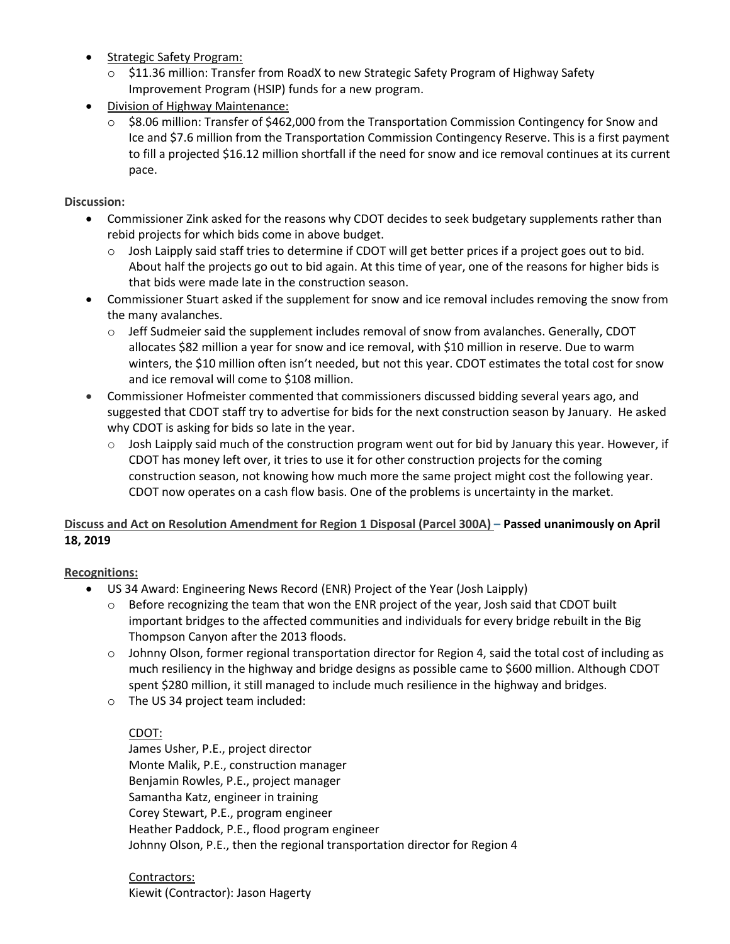- Strategic Safety Program:
	- o \$11.36 million: Transfer from RoadX to new Strategic Safety Program of Highway Safety Improvement Program (HSIP) funds for a new program.
- Division of Highway Maintenance:
	- $\circ$  \$8.06 million: Transfer of \$462,000 from the Transportation Commission Contingency for Snow and Ice and \$7.6 million from the Transportation Commission Contingency Reserve. This is a first payment to fill a projected \$16.12 million shortfall if the need for snow and ice removal continues at its current pace.

#### **Discussion:**

- Commissioner Zink asked for the reasons why CDOT decides to seek budgetary supplements rather than rebid projects for which bids come in above budget.
	- $\circ$  Josh Laipply said staff tries to determine if CDOT will get better prices if a project goes out to bid. About half the projects go out to bid again. At this time of year, one of the reasons for higher bids is that bids were made late in the construction season.
- Commissioner Stuart asked if the supplement for snow and ice removal includes removing the snow from the many avalanches.
	- $\circ$  Jeff Sudmeier said the supplement includes removal of snow from avalanches. Generally, CDOT allocates \$82 million a year for snow and ice removal, with \$10 million in reserve. Due to warm winters, the \$10 million often isn't needed, but not this year. CDOT estimates the total cost for snow and ice removal will come to \$108 million.
- Commissioner Hofmeister commented that commissioners discussed bidding several years ago, and suggested that CDOT staff try to advertise for bids for the next construction season by January. He asked why CDOT is asking for bids so late in the year.
	- $\circ$  Josh Laipply said much of the construction program went out for bid by January this year. However, if CDOT has money left over, it tries to use it for other construction projects for the coming construction season, not knowing how much more the same project might cost the following year. [CDOT now operates on a cash flow basis. One of the problems is uncertainty in the market.](https://www.codot.gov/about/transportation-commission/documents/2018-agendas-and-supporting-documents/december-2018/8-budget-sup.pdf)

# **[Discuss and Act on Resolution](https://www.codot.gov/about/transportation-commission/documents/2018-agendas-and-supporting-documents/december-2018/8-budget-sup.pdf) Amendment for Region 1 Disposal (Parcel 300A) – Passed unanimously on April 18, 2019**

## **Recognitions:**

- US 34 Award: Engineering News Record (ENR) Project of the Year (Josh Laipply)
	- $\circ$  Before recognizing the team that won the ENR project of the year, Josh said that CDOT built important bridges to the affected communities and individuals for every bridge rebuilt in the Big Thompson Canyon after the 2013 floods.
	- $\circ$  Johnny Olson, former regional transportation director for Region 4, said the total cost of including as much resiliency in the highway and bridge designs as possible came to \$600 million. Although CDOT spent \$280 million, it still managed to include much resilience in the highway and bridges.
	- o The US 34 project team included:

## CDOT:

James Usher, P.E., project director Monte Malik, P.E., construction manager Benjamin Rowles, P.E., project manager Samantha Katz, engineer in training Corey Stewart, P.E., program engineer Heather Paddock, P.E., flood program engineer Johnny Olson, P.E., then the regional transportation director for Region 4

Contractors: Kiewit (Contractor): Jason Hagerty